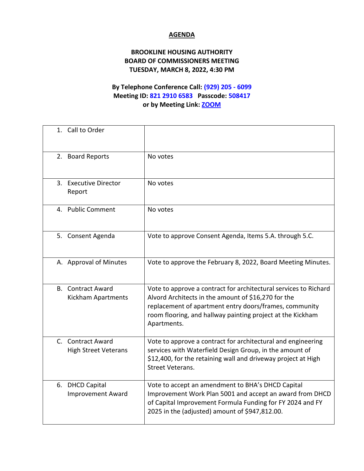## **AGENDA**

## **BROOKLINE HOUSING AUTHORITY BOARD OF COMMISSIONERS MEETING TUESDAY, MARCH 8, 2022, 4:30 PM**

## **By Telephone Conference Call: (929) 205 - 6099 Meeting ID: 821 2910 6583 Passcode: 508417 or by Meeting Link: [ZOOM](https://us02web.zoom.us/j/82129106583?pwd=bXE1N3dkOEpMN010UmlIVDZ5T0N0QT09)**

| 1. Call to Order                                 |                                                                                                                                                                                                                                                                |
|--------------------------------------------------|----------------------------------------------------------------------------------------------------------------------------------------------------------------------------------------------------------------------------------------------------------------|
| 2. Board Reports                                 | No votes                                                                                                                                                                                                                                                       |
| 3. Executive Director<br>Report                  | No votes                                                                                                                                                                                                                                                       |
| 4. Public Comment                                | No votes                                                                                                                                                                                                                                                       |
| 5. Consent Agenda                                | Vote to approve Consent Agenda, Items 5.A. through 5.C.                                                                                                                                                                                                        |
| A. Approval of Minutes                           | Vote to approve the February 8, 2022, Board Meeting Minutes.                                                                                                                                                                                                   |
| <b>B.</b> Contract Award<br>Kickham Apartments   | Vote to approve a contract for architectural services to Richard<br>Alvord Architects in the amount of \$16,270 for the<br>replacement of apartment entry doors/frames, community<br>room flooring, and hallway painting project at the Kickham<br>Apartments. |
| C. Contract Award<br><b>High Street Veterans</b> | Vote to approve a contract for architectural and engineering<br>services with Waterfield Design Group, in the amount of<br>\$12,400, for the retaining wall and driveway project at High<br><b>Street Veterans.</b>                                            |
| 6. DHCD Capital<br><b>Improvement Award</b>      | Vote to accept an amendment to BHA's DHCD Capital<br>Improvement Work Plan 5001 and accept an award from DHCD<br>of Capital Improvement Formula Funding for FY 2024 and FY<br>2025 in the (adjusted) amount of \$947,812.00.                                   |